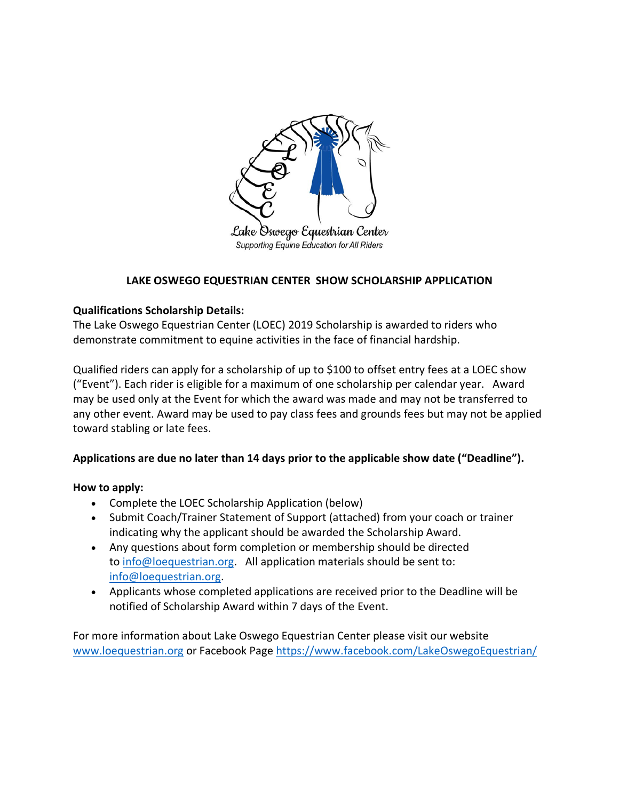

Lake Oswego Equestrian Center Supporting Equine Education for All Riders

# **LAKE OSWEGO EQUESTRIAN CENTER SHOW SCHOLARSHIP APPLICATION**

### **Qualifications Scholarship Details:**

The Lake Oswego Equestrian Center (LOEC) 2019 Scholarship is awarded to riders who demonstrate commitment to equine activities in the face of financial hardship.

Qualified riders can apply for a scholarship of up to \$100 to offset entry fees at a LOEC show ("Event"). Each rider is eligible for a maximum of one scholarship per calendar year. Award may be used only at the Event for which the award was made and may not be transferred to any other event. Award may be used to pay class fees and grounds fees but may not be applied toward stabling or late fees.

## **Applications are due no later than 14 days prior to the applicable show date ("Deadline").**

### **How to apply:**

- Complete the LOEC Scholarship Application (below)
- Submit Coach/Trainer Statement of Support (attached) from your coach or trainer indicating why the applicant should be awarded the Scholarship Award.
- Any questions about form completion or membership should be directed to info@loequestrian.org. All application materials should be sent to: info@loequestrian.org.
- Applicants whose completed applications are received prior to the Deadline will be notified of Scholarship Award within 7 days of the Event.

For more information about Lake Oswego Equestrian Center please visit our website www.loequestrian.org or Facebook Page https://www.facebook.com/LakeOswegoEquestrian/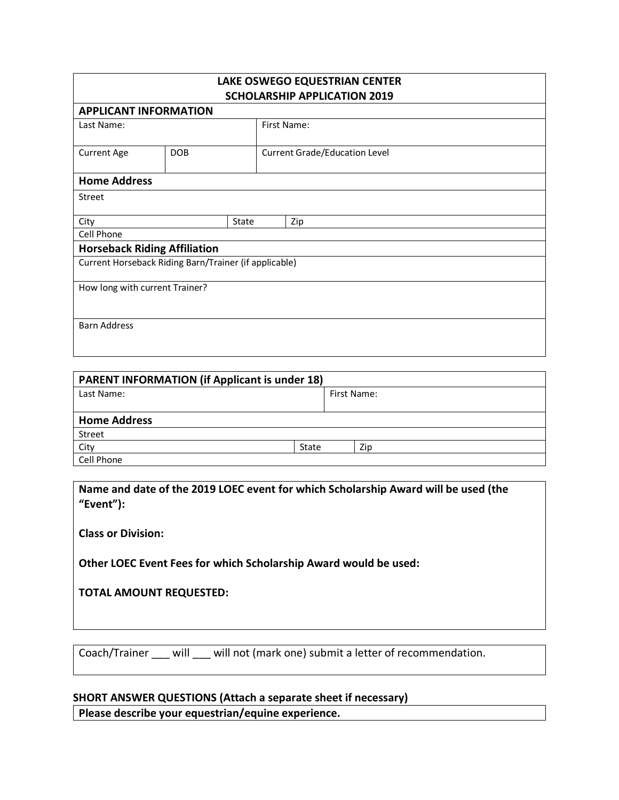| LAKE OSWEGO EQUESTRIAN CENTER<br><b>SCHOLARSHIP APPLICATION 2019</b><br><b>APPLICANT INFORMATION</b> |                                                       |       |                                      |     |  |  |
|------------------------------------------------------------------------------------------------------|-------------------------------------------------------|-------|--------------------------------------|-----|--|--|
|                                                                                                      |                                                       |       |                                      |     |  |  |
| <b>Current Age</b>                                                                                   | <b>DOB</b>                                            |       | <b>Current Grade/Education Level</b> |     |  |  |
| <b>Home Address</b>                                                                                  |                                                       |       |                                      |     |  |  |
| Street                                                                                               |                                                       |       |                                      |     |  |  |
| City                                                                                                 |                                                       | State |                                      | Zip |  |  |
| Cell Phone                                                                                           |                                                       |       |                                      |     |  |  |
|                                                                                                      | <b>Horseback Riding Affiliation</b>                   |       |                                      |     |  |  |
|                                                                                                      | Current Horseback Riding Barn/Trainer (if applicable) |       |                                      |     |  |  |
| How long with current Trainer?                                                                       |                                                       |       |                                      |     |  |  |
|                                                                                                      |                                                       |       |                                      |     |  |  |
| <b>Barn Address</b>                                                                                  |                                                       |       |                                      |     |  |  |

| <b>PARENT INFORMATION (if Applicant is under 18)</b> |       |             |  |  |  |
|------------------------------------------------------|-------|-------------|--|--|--|
| Last Name:                                           |       | First Name: |  |  |  |
|                                                      |       |             |  |  |  |
| <b>Home Address</b>                                  |       |             |  |  |  |
| Street                                               |       |             |  |  |  |
| City                                                 | State | Zip         |  |  |  |
| Cell Phone                                           |       |             |  |  |  |

**Name and date of the 2019 LOEC event for which Scholarship Award will be used (the "Event"):**

**Class or Division:**

**Other LOEC Event Fees for which Scholarship Award would be used:**

**TOTAL AMOUNT REQUESTED:**

Coach/Trainer \_\_\_ will \_\_\_ will not (mark one) submit a letter of recommendation.

### **SHORT ANSWER QUESTIONS (Attach a separate sheet if necessary)**

**Please describe your equestrian/equine experience.**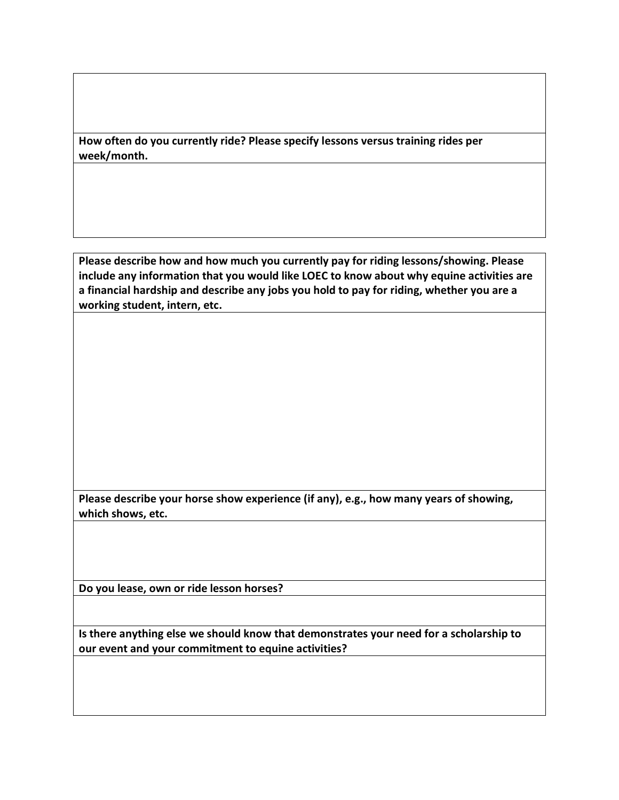**How often do you currently ride? Please specify lessons versus training rides per week/month.**

**Please describe how and how much you currently pay for riding lessons/showing. Please include any information that you would like LOEC to know about why equine activities are a financial hardship and describe any jobs you hold to pay for riding, whether you are a working student, intern, etc.**

**Please describe your horse show experience (if any), e.g., how many years of showing, which shows, etc.**

**Do you lease, own or ride lesson horses?**

**Is there anything else we should know that demonstrates your need for a scholarship to our event and your commitment to equine activities?**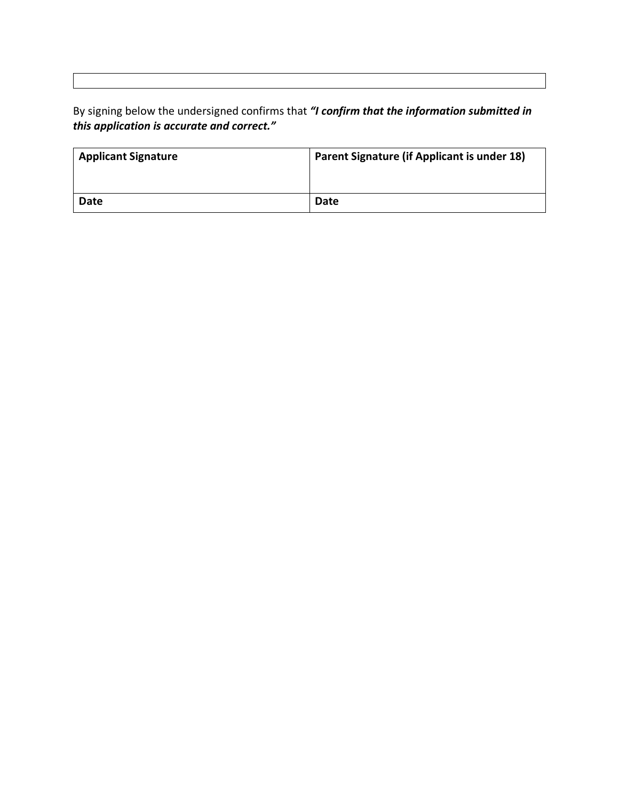By signing below the undersigned confirms that *"I confirm that the information submitted in this application is accurate and correct."*

| <b>Applicant Signature</b> | <b>Parent Signature (if Applicant is under 18)</b> |  |  |
|----------------------------|----------------------------------------------------|--|--|
|                            |                                                    |  |  |
| Date                       | Date                                               |  |  |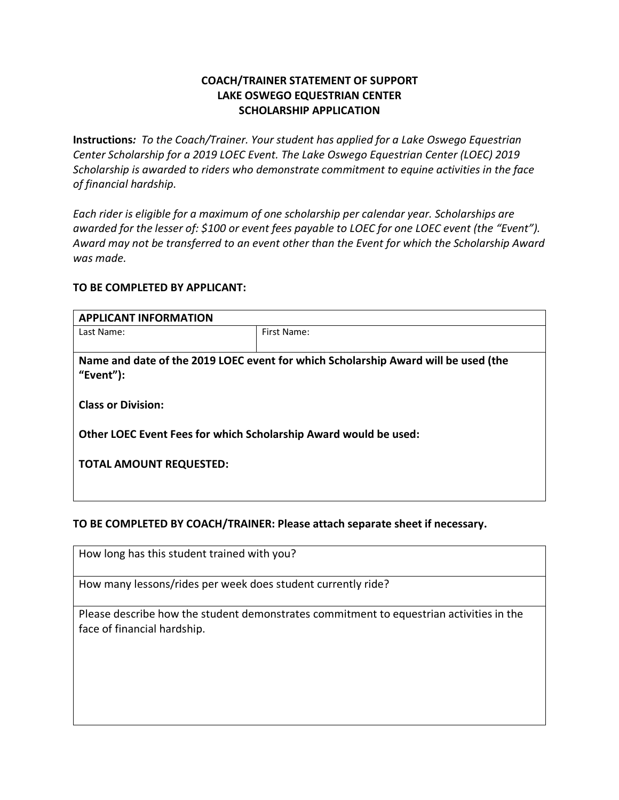# **COACH/TRAINER STATEMENT OF SUPPORT LAKE OSWEGO EQUESTRIAN CENTER SCHOLARSHIP APPLICATION**

**Instructions***: To the Coach/Trainer. Your student has applied for a Lake Oswego Equestrian Center Scholarship for a 2019 LOEC Event. The Lake Oswego Equestrian Center (LOEC) 2019 Scholarship is awarded to riders who demonstrate commitment to equine activities in the face of financial hardship.*

*Each rider is eligible for a maximum of one scholarship per calendar year. Scholarships are awarded for the lesser of: \$100 or event fees payable to LOEC for one LOEC event (the "Event"). Award may not be transferred to an event other than the Event for which the Scholarship Award was made.* 

#### **TO BE COMPLETED BY APPLICANT:**

| <b>APPLICANT INFORMATION</b>                                                       |             |  |  |  |  |
|------------------------------------------------------------------------------------|-------------|--|--|--|--|
| Last Name:                                                                         | First Name: |  |  |  |  |
|                                                                                    |             |  |  |  |  |
| Name and date of the 2019 LOEC event for which Scholarship Award will be used (the |             |  |  |  |  |
| "Event" $)$ :                                                                      |             |  |  |  |  |
|                                                                                    |             |  |  |  |  |
| <b>Class or Division:</b>                                                          |             |  |  |  |  |
|                                                                                    |             |  |  |  |  |
| Other LOEC Event Fees for which Scholarship Award would be used:                   |             |  |  |  |  |
|                                                                                    |             |  |  |  |  |
| <b>TOTAL AMOUNT REQUESTED:</b>                                                     |             |  |  |  |  |
|                                                                                    |             |  |  |  |  |
|                                                                                    |             |  |  |  |  |

### **TO BE COMPLETED BY COACH/TRAINER: Please attach separate sheet if necessary.**

How long has this student trained with you?

How many lessons/rides per week does student currently ride?

Please describe how the student demonstrates commitment to equestrian activities in the face of financial hardship.